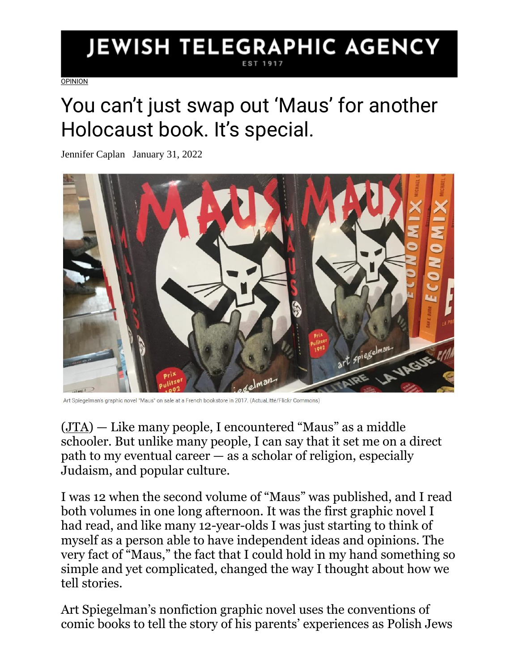## **JEWISH TELEGRAPHIC AGENCY**

**[OPINION](https://www.jta.org/category/opinion)** 

## You can't just swap out 'Maus' for another Holocaust book. It's special.

Jennifer Caplan January 31, 2022



Art Spiegelman's graphic novel "Maus" on sale a French bookstore in 2017. (Actual itté/Flickr Commons)

[\(JTA\)](http://jta.org/) — Like many people, I encountered "Maus" as a middle schooler. But unlike many people, I can say that it set me on a direct path to my eventual career — as a scholar of religion, especially Judaism, and popular culture.

I was 12 when the second volume of "Maus" was published, and I read both volumes in one long afternoon. It was the first graphic novel I had read, and like many 12-year-olds I was just starting to think of myself as a person able to have independent ideas and opinions. The very fact of "Maus," the fact that I could hold in my hand something so simple and yet complicated, changed the way I thought about how we tell stories.

Art Spiegelman's nonfiction graphic novel uses the conventions of comic books to tell the story of his parents' experiences as Polish Jews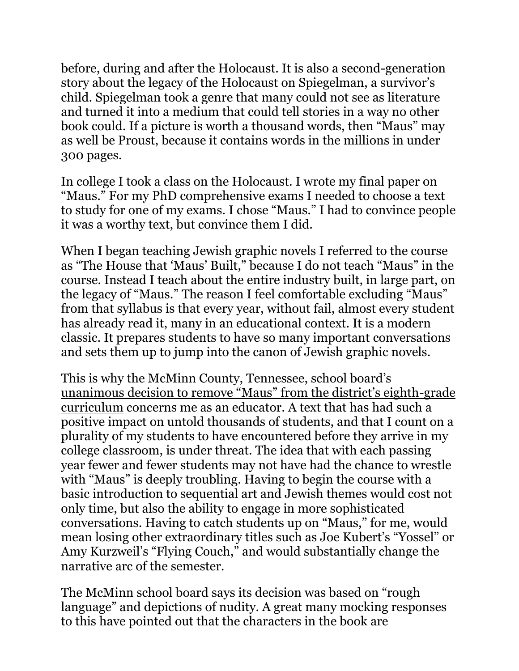before, during and after the Holocaust. It is also a second-generation story about the legacy of the Holocaust on Spiegelman, a survivor's child. Spiegelman took a genre that many could not see as literature and turned it into a medium that could tell stories in a way no other book could. If a picture is worth a thousand words, then "Maus" may as well be Proust, because it contains words in the millions in under 300 pages.

In college I took a class on the Holocaust. I wrote my final paper on "Maus." For my PhD comprehensive exams I needed to choose a text to study for one of my exams. I chose "Maus." I had to convince people it was a worthy text, but convince them I did.

When I began teaching Jewish graphic novels I referred to the course as "The House that 'Maus' Built," because I do not teach "Maus" in the course. Instead I teach about the entire industry built, in large part, on the legacy of "Maus." The reason I feel comfortable excluding "Maus" from that syllabus is that every year, without fail, almost every student has already read it, many in an educational context. It is a modern classic. It prepares students to have so many important conversations and sets them up to jump into the canon of Jewish graphic novels.

This is why the McMinn C[ounty, Tennessee, school board's](https://www.jta.org/2022/01/26/united-states/tennessee-school-board-removes-maus-iconic-holocaust-novel-from-its-curriculum)  [unanimous decision to remove "Maus" from the district's eighth](https://www.jta.org/2022/01/26/united-states/tennessee-school-board-removes-maus-iconic-holocaust-novel-from-its-curriculum)-grade [curriculum](https://www.jta.org/2022/01/26/united-states/tennessee-school-board-removes-maus-iconic-holocaust-novel-from-its-curriculum) concerns me as an educator. A text that has had such a positive impact on untold thousands of students, and that I count on a plurality of my students to have encountered before they arrive in my college classroom, is under threat. The idea that with each passing year fewer and fewer students may not have had the chance to wrestle with "Maus" is deeply troubling. Having to begin the course with a basic introduction to sequential art and Jewish themes would cost not only time, but also the ability to engage in more sophisticated conversations. Having to catch students up on "Maus," for me, would mean losing other extraordinary titles such as Joe Kubert's "Yossel" or Amy Kurzweil's "Flying Couch," and would substantially change the narrative arc of the semester.

The McMinn school board says its decision was based on "rough language" and depictions of nudity. A great many mocking responses to this have pointed out that the characters in the book are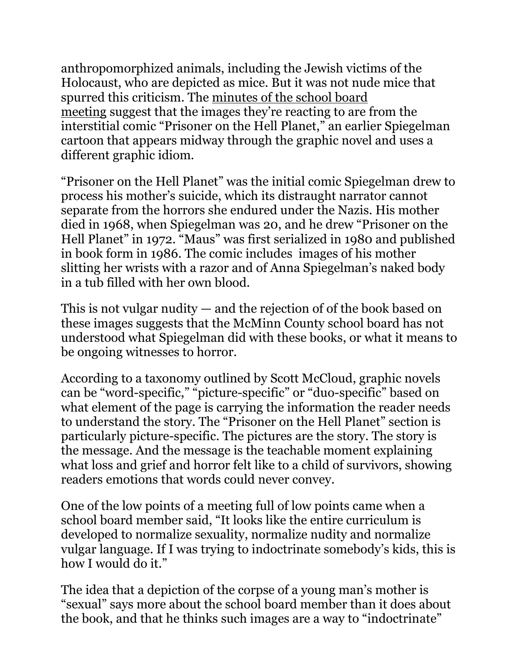anthropomorphized animals, including the Jewish victims of the Holocaust, who are depicted as mice. But it was not nude mice that spurred this criticism. The [minutes of the school board](https://core-docs.s3.amazonaws.com/documents/asset/uploaded_file/1818370/Called_Meeting_Minutes_1-10-22.pdf)  [meeting](https://core-docs.s3.amazonaws.com/documents/asset/uploaded_file/1818370/Called_Meeting_Minutes_1-10-22.pdf) suggest that the images they're reacting to are from the interstitial comic "Prisoner on the Hell Planet," an earlier Spiegelman cartoon that appears midway through the graphic novel and uses a different graphic idiom.

"Prisoner on the Hell Planet" was the initial comic Spiegelman drew to process his mother's suicide, which its distraught narrator cannot separate from the horrors she endured under the Nazis. His mother died in 1968, when Spiegelman was 20, and he drew "Prisoner on the Hell Planet" in 1972. "Maus" was first serialized in 1980 and published in book form in 1986. The comic includes images of his mother slitting her wrists with a razor and of Anna Spiegelman's naked body in a tub filled with her own blood.

This is not vulgar nudity — and the rejection of of the book based on these images suggests that the McMinn County school board has not understood what Spiegelman did with these books, or what it means to be ongoing witnesses to horror.

According to a taxonomy outlined by Scott McCloud, graphic novels can be "word-specific," "picture-specific" or "duo-specific" based on what element of the page is carrying the information the reader needs to understand the story. The "Prisoner on the Hell Planet" section is particularly picture-specific. The pictures are the story. The story is the message. And the message is the teachable moment explaining what loss and grief and horror felt like to a child of survivors, showing readers emotions that words could never convey.

One of the low points of a meeting full of low points came when a school board member said, "It looks like the entire curriculum is developed to normalize sexuality, normalize nudity and normalize vulgar language. If I was trying to indoctrinate somebody's kids, this is how I would do it."

The idea that a depiction of the corpse of a young man's mother is "sexual" says more about the school board member than it does about the book, and that he thinks such images are a way to "indoctrinate"